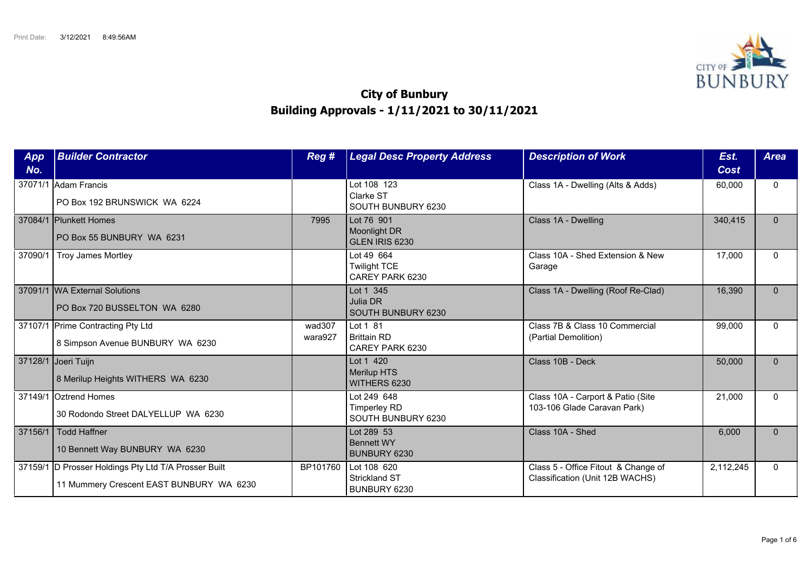

## **City of Bunbury Building Approvals - 1/11/2021 to 30/11/2021**

| App<br>No. | <b>Builder Contractor</b>                                                                        | Reg #             | <b>Legal Desc Property Address</b>                       | <b>Description of Work</b>                                             | Est.<br>Cost | <b>Area</b>  |
|------------|--------------------------------------------------------------------------------------------------|-------------------|----------------------------------------------------------|------------------------------------------------------------------------|--------------|--------------|
|            | 37071/1 Adam Francis<br>PO Box 192 BRUNSWICK WA 6224                                             |                   | Lot 108 123<br>Clarke ST<br>SOUTH BUNBURY 6230           | Class 1A - Dwelling (Alts & Adds)                                      | 60,000       | $\mathbf{0}$ |
|            | 37084/1 Plunkett Homes<br>PO Box 55 BUNBURY WA 6231                                              | 7995              | Lot 76 901<br>Moonlight DR<br>GLEN IRIS 6230             | Class 1A - Dwelling                                                    | 340,415      | $\Omega$     |
| 37090/1    | Troy James Mortley                                                                               |                   | Lot 49 664<br><b>Twilight TCE</b><br>CAREY PARK 6230     | Class 10A - Shed Extension & New<br>Garage                             | 17,000       | $\Omega$     |
|            | 37091/1 WA External Solutions<br>PO Box 720 BUSSELTON WA 6280                                    |                   | Lot 1 345<br>Julia DR<br>SOUTH BUNBURY 6230              | Class 1A - Dwelling (Roof Re-Clad)                                     | 16,390       | $\Omega$     |
|            | 37107/1 Prime Contracting Pty Ltd<br>8 Simpson Avenue BUNBURY WA 6230                            | wad307<br>wara927 | Lot 1 81<br><b>Brittain RD</b><br>CAREY PARK 6230        | Class 7B & Class 10 Commercial<br>(Partial Demolition)                 | 99,000       | $\Omega$     |
|            | 37128/1 Joeri Tuijn<br>8 Merilup Heights WITHERS WA 6230                                         |                   | Lot 1 420<br><b>Merilup HTS</b><br>WITHERS 6230          | Class 10B - Deck                                                       | 50,000       | $\Omega$     |
| 37149/1    | Oztrend Homes<br>30 Rodondo Street DALYELLUP WA 6230                                             |                   | Lot 249 648<br><b>Timperley RD</b><br>SOUTH BUNBURY 6230 | Class 10A - Carport & Patio (Site<br>103-106 Glade Caravan Park)       | 21,000       | $\Omega$     |
| 37156/1    | Todd Haffner<br>10 Bennett Way BUNBURY WA 6230                                                   |                   | Lot 289 53<br><b>Bennett WY</b><br>BUNBURY 6230          | Class 10A - Shed                                                       | 6,000        | $\Omega$     |
|            | 37159/1 D Prosser Holdings Pty Ltd T/A Prosser Built<br>11 Mummery Crescent EAST BUNBURY WA 6230 | BP101760          | Lot 108 620<br><b>Strickland ST</b><br>BUNBURY 6230      | Class 5 - Office Fitout & Change of<br>Classification (Unit 12B WACHS) | 2,112,245    | $\Omega$     |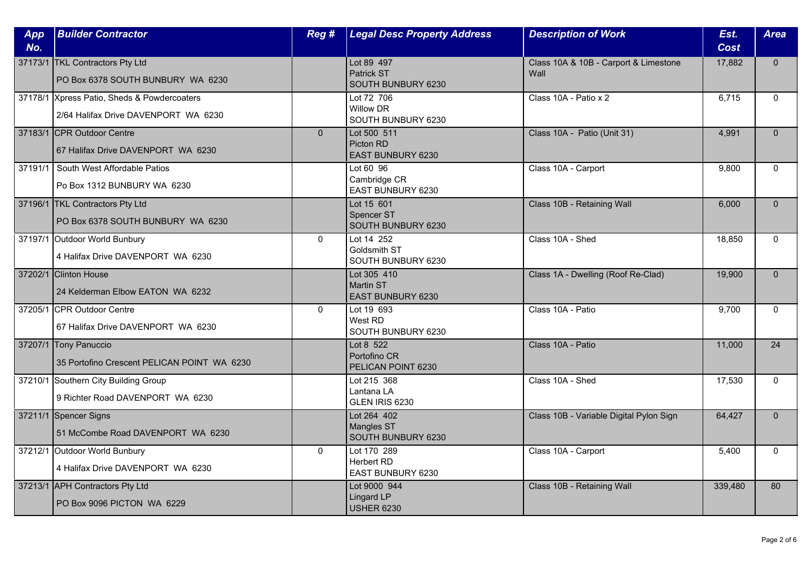| App<br>No. | <b>Builder Contractor</b>                                                           | Reg #          | <b>Legal Desc Property Address</b>                   | <b>Description of Work</b>                    | Est.<br><b>Cost</b> | <b>Area</b>  |
|------------|-------------------------------------------------------------------------------------|----------------|------------------------------------------------------|-----------------------------------------------|---------------------|--------------|
|            | 37173/1 TKL Contractors Pty Ltd<br>PO Box 6378 SOUTH BUNBURY WA 6230                |                | Lot 89 497<br>Patrick ST<br>SOUTH BUNBURY 6230       | Class 10A & 10B - Carport & Limestone<br>Wall | 17,882              | $\mathbf{0}$ |
|            | 37178/1 Xpress Patio, Sheds & Powdercoaters<br>2/64 Halifax Drive DAVENPORT WA 6230 |                | Lot 72 706<br><b>Willow DR</b><br>SOUTH BUNBURY 6230 | Class 10A - Patio x 2                         | 6.715               | $\Omega$     |
|            | 37183/1 CPR Outdoor Centre<br>67 Halifax Drive DAVENPORT WA 6230                    | $\overline{0}$ | Lot 500 511<br>Picton RD<br>EAST BUNBURY 6230        | Class 10A - Patio (Unit 31)                   | 4,991               | $\Omega$     |
|            | 37191/1 South West Affordable Patios<br>Po Box 1312 BUNBURY WA 6230                 |                | Lot 60 96<br>Cambridge CR<br>EAST BUNBURY 6230       | Class 10A - Carport                           | 9,800               | $\mathbf{0}$ |
|            | 37196/1 TKL Contractors Pty Ltd<br>PO Box 6378 SOUTH BUNBURY WA 6230                |                | Lot 15 601<br>Spencer ST<br>SOUTH BUNBURY 6230       | Class 10B - Retaining Wall                    | 6,000               | $\Omega$     |
|            | 37197/1 Outdoor World Bunbury<br>4 Halifax Drive DAVENPORT WA 6230                  | $\mathbf{0}$   | Lot 14 252<br>Goldsmith ST<br>SOUTH BUNBURY 6230     | Class 10A - Shed                              | 18,850              | $\Omega$     |
|            | 37202/1 Clinton House<br>24 Kelderman Elbow EATON WA 6232                           |                | Lot 305 410<br>Martin ST<br><b>EAST BUNBURY 6230</b> | Class 1A - Dwelling (Roof Re-Clad)            | 19,900              | $\mathbf{0}$ |
|            | 37205/1 CPR Outdoor Centre<br>67 Halifax Drive DAVENPORT WA 6230                    | $\mathbf{0}$   | Lot 19 693<br>West RD<br>SOUTH BUNBURY 6230          | Class 10A - Patio                             | 9,700               | $\mathbf{0}$ |
|            | 37207/1 Tony Panuccio<br>35 Portofino Crescent PELICAN POINT WA 6230                |                | Lot 8 522<br>Portofino CR<br>PELICAN POINT 6230      | Class 10A - Patio                             | 11,000              | 24           |
|            | 37210/1 Southern City Building Group<br>9 Richter Road DAVENPORT WA 6230            |                | Lot 215 368<br>Lantana LA<br>GLEN IRIS 6230          | Class 10A - Shed                              | 17,530              | $\mathbf{0}$ |
|            | 37211/1 Spencer Signs<br>51 McCombe Road DAVENPORT WA 6230                          |                | Lot 264 402<br>Mangles ST<br>SOUTH BUNBURY 6230      | Class 10B - Variable Digital Pylon Sign       | 64,427              | $\mathbf{0}$ |
|            | 37212/1 Outdoor World Bunbury<br>4 Halifax Drive DAVENPORT WA 6230                  | $\Omega$       | Lot 170 289<br>Herbert RD<br>EAST BUNBURY 6230       | Class 10A - Carport                           | 5,400               | $\Omega$     |
|            | 37213/1 APH Contractors Pty Ltd<br>PO Box 9096 PICTON WA 6229                       |                | Lot 9000 944<br>Lingard LP<br><b>USHER 6230</b>      | Class 10B - Retaining Wall                    | 339,480             | 80           |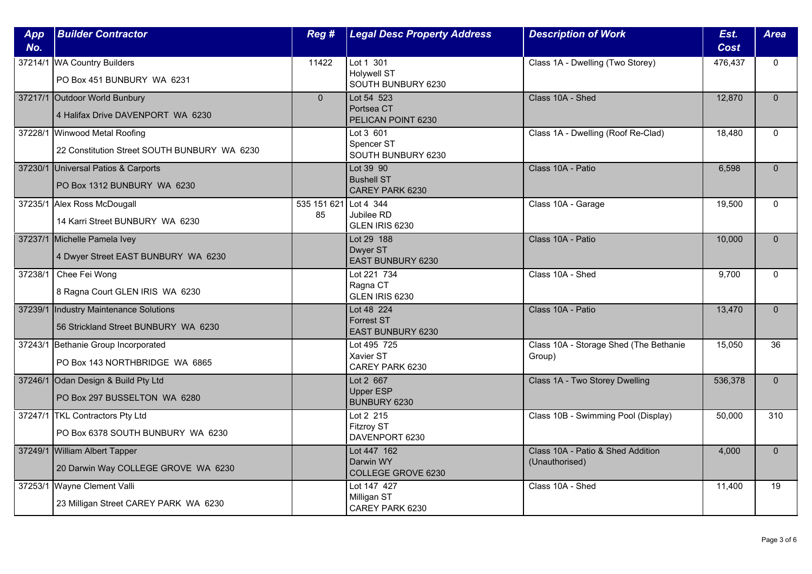| App     | <b>Builder Contractor</b>                    | Reg #          | <b>Legal Desc Property Address</b>          | <b>Description of Work</b>             | Est.        | <b>Area</b> |
|---------|----------------------------------------------|----------------|---------------------------------------------|----------------------------------------|-------------|-------------|
| No.     |                                              |                |                                             |                                        | <b>Cost</b> |             |
|         | 37214/1 WA Country Builders                  | 11422          | Lot $1\overline{301}$<br><b>Holywell ST</b> | Class 1A - Dwelling (Two Storey)       | 476,437     | $\Omega$    |
|         | PO Box 451 BUNBURY WA 6231                   |                | SOUTH BUNBURY 6230                          |                                        |             |             |
|         | 37217/1 Outdoor World Bunbury                | $\overline{0}$ | Lot 54 523                                  | Class 10A - Shed                       | 12,870      | $\Omega$    |
|         | 4 Halifax Drive DAVENPORT WA 6230            |                | Portsea CT<br>PELICAN POINT 6230            |                                        |             |             |
|         | 37228/1 Winwood Metal Roofing                |                | Lot 3 601                                   | Class 1A - Dwelling (Roof Re-Clad)     | 18,480      | $\Omega$    |
|         | 22 Constitution Street SOUTH BUNBURY WA 6230 |                | Spencer ST<br>SOUTH BUNBURY 6230            |                                        |             |             |
|         | 37230/1 Universal Patios & Carports          |                | Lot 39 90                                   | Class 10A - Patio                      | 6,598       | $\Omega$    |
|         | PO Box 1312 BUNBURY WA 6230                  |                | <b>Bushell ST</b><br>CAREY PARK 6230        |                                        |             |             |
|         | 37235/1 Alex Ross McDougall                  | 535 151 621    | Lot 4 $344$                                 | Class 10A - Garage                     | 19,500      | $\Omega$    |
|         | 14 Karri Street BUNBURY WA 6230              | 85             | Jubilee RD<br>GLEN IRIS 6230                |                                        |             |             |
|         | 37237/1 Michelle Pamela Ivey                 |                | Lot 29 188                                  | Class 10A - Patio                      | 10,000      | $\Omega$    |
|         | 4 Dwyer Street EAST BUNBURY WA 6230          |                | Dwyer ST<br>EAST BUNBURY 6230               |                                        |             |             |
| 37238/1 | Chee Fei Wong                                |                | Lot 221 734                                 | Class 10A - Shed                       | 9,700       | $\Omega$    |
|         | 8 Ragna Court GLEN IRIS WA 6230              |                | Ragna CT<br>GLEN IRIS 6230                  |                                        |             |             |
| 37239/1 | Industry Maintenance Solutions               |                | Lot 48 224                                  | Class 10A - Patio                      | 13,470      | $\Omega$    |
|         | 56 Strickland Street BUNBURY WA 6230         |                | <b>Forrest ST</b><br>EAST BUNBURY 6230      |                                        |             |             |
|         | 37243/1 Bethanie Group Incorporated          |                | Lot 495 725                                 | Class 10A - Storage Shed (The Bethanie | 15.050      | 36          |
|         | PO Box 143 NORTHBRIDGE WA 6865               |                | Xavier ST<br>CAREY PARK 6230                | Group)                                 |             |             |
|         | 37246/1 Odan Design & Build Pty Ltd          |                | Lot 2 667                                   | Class 1A - Two Storey Dwelling         | 536,378     | $\Omega$    |
|         | PO Box 297 BUSSELTON WA 6280                 |                | <b>Upper ESP</b><br>BUNBURY 6230            |                                        |             |             |
|         | 37247/1 TKL Contractors Pty Ltd              |                | Lot 2 215                                   | Class 10B - Swimming Pool (Display)    | 50,000      | 310         |
|         | PO Box 6378 SOUTH BUNBURY WA 6230            |                | <b>Fitzroy ST</b><br>DAVENPORT 6230         |                                        |             |             |
|         | 37249/1 William Albert Tapper                |                | Lot 447 162                                 | Class 10A - Patio & Shed Addition      | 4,000       | $\Omega$    |
|         | 20 Darwin Way COLLEGE GROVE WA 6230          |                | Darwin WY<br>COLLEGE GROVE 6230             | (Unauthorised)                         |             |             |
| 37253/1 | Wayne Clement Valli                          |                | Lot 147 427                                 | Class 10A - Shed                       | 11,400      | 19          |
|         | 23 Milligan Street CAREY PARK WA 6230        |                | Milligan ST<br>CAREY PARK 6230              |                                        |             |             |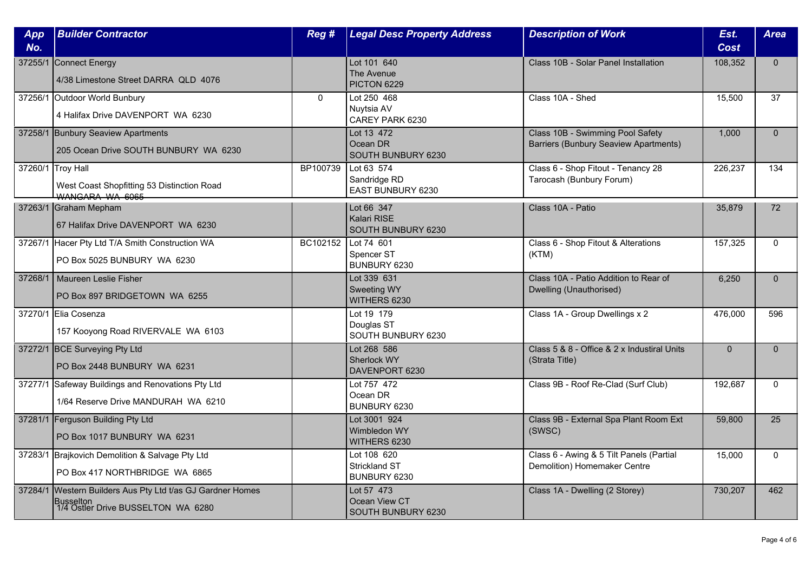| App<br>No. | <b>Builder Contractor</b>                                                                             | Reg #    | <b>Legal Desc Property Address</b>                  | <b>Description of Work</b>                                                       | Est.<br><b>Cost</b> | <b>Area</b>  |
|------------|-------------------------------------------------------------------------------------------------------|----------|-----------------------------------------------------|----------------------------------------------------------------------------------|---------------------|--------------|
| 37255/1    | Connect Energy<br>4/38 Limestone Street DARRA QLD 4076                                                |          | Lot 101 640<br>The Avenue<br>PICTON 6229            | Class 10B - Solar Panel Installation                                             | 108,352             | $\Omega$     |
|            | 37256/1 Outdoor World Bunbury<br>4 Halifax Drive DAVENPORT WA 6230                                    | $\Omega$ | Lot 250 468<br>Nuytsia AV<br>CAREY PARK 6230        | Class 10A - Shed                                                                 | 15,500              | 37           |
|            | 37258/1 Bunbury Seaview Apartments<br>205 Ocean Drive SOUTH BUNBURY WA 6230                           |          | Lot 13 472<br>Ocean DR<br>SOUTH BUNBURY 6230        | Class 10B - Swimming Pool Safety<br><b>Barriers (Bunbury Seaview Apartments)</b> | 1,000               | $\mathbf{0}$ |
|            | 37260/1 Troy Hall<br>West Coast Shopfitting 53 Distinction Road<br>WANGARA WA 6065                    | BP100739 | Lot 63 574<br>Sandridge RD<br>EAST BUNBURY 6230     | Class 6 - Shop Fitout - Tenancy 28<br>Tarocash (Bunbury Forum)                   | 226,237             | 134          |
|            | 37263/1 Graham Mepham<br>67 Halifax Drive DAVENPORT WA 6230                                           |          | Lot 66 347<br>Kalari RISE<br>SOUTH BUNBURY 6230     | Class 10A - Patio                                                                | 35,879              | 72           |
|            | 37267/1 Hacer Pty Ltd T/A Smith Construction WA<br>PO Box 5025 BUNBURY WA 6230                        | BC102152 | Lot 74 601<br>Spencer ST<br>BUNBURY 6230            | Class 6 - Shop Fitout & Alterations<br>(KTM)                                     | 157,325             | $\Omega$     |
| 37268/1    | Maureen Leslie Fisher<br>PO Box 897 BRIDGETOWN WA 6255                                                |          | Lot 339 631<br>Sweeting WY<br>WITHERS 6230          | Class 10A - Patio Addition to Rear of<br>Dwelling (Unauthorised)                 | 6,250               | $\Omega$     |
|            | 37270/1 Elia Cosenza<br>157 Kooyong Road RIVERVALE WA 6103                                            |          | Lot 19 179<br>Douglas ST<br>SOUTH BUNBURY 6230      | Class 1A - Group Dwellings x 2                                                   | 476,000             | 596          |
|            | 37272/1 BCE Surveying Pty Ltd<br>PO Box 2448 BUNBURY WA 6231                                          |          | Lot 268 586<br>Sherlock WY<br>DAVENPORT 6230        | Class 5 & 8 - Office & 2 x Industiral Units<br>(Strata Title)                    | $\mathbf{0}$        | $\mathbf{0}$ |
|            | 37277/1 Safeway Buildings and Renovations Pty Ltd<br>1/64 Reserve Drive MANDURAH WA 6210              |          | Lot 757 472<br>Ocean DR<br>BUNBURY 6230             | Class 9B - Roof Re-Clad (Surf Club)                                              | 192,687             | $\mathbf{0}$ |
|            | 37281/1 Ferguson Building Pty Ltd<br>PO Box 1017 BUNBURY WA 6231                                      |          | Lot 3001 924<br>Wimbledon WY<br>WITHERS 6230        | Class 9B - External Spa Plant Room Ext<br>(SWSC)                                 | 59,800              | 25           |
|            | 37283/1 Brajkovich Demolition & Salvage Pty Ltd<br>PO Box 417 NORTHBRIDGE WA 6865                     |          | Lot 108 620<br><b>Strickland ST</b><br>BUNBURY 6230 | Class 6 - Awing & 5 Tilt Panels (Partial<br>Demolition) Homemaker Centre         | 15,000              | $\Omega$     |
| 37284/1    | Western Builders Aus Pty Ltd t/as GJ Gardner Homes<br>Busselton<br>1/4 Ostler Drive BUSSELTON WA 6280 |          | Lot 57 473<br>Ocean View CT<br>SOUTH BUNBURY 6230   | Class 1A - Dwelling (2 Storey)                                                   | 730,207             | 462          |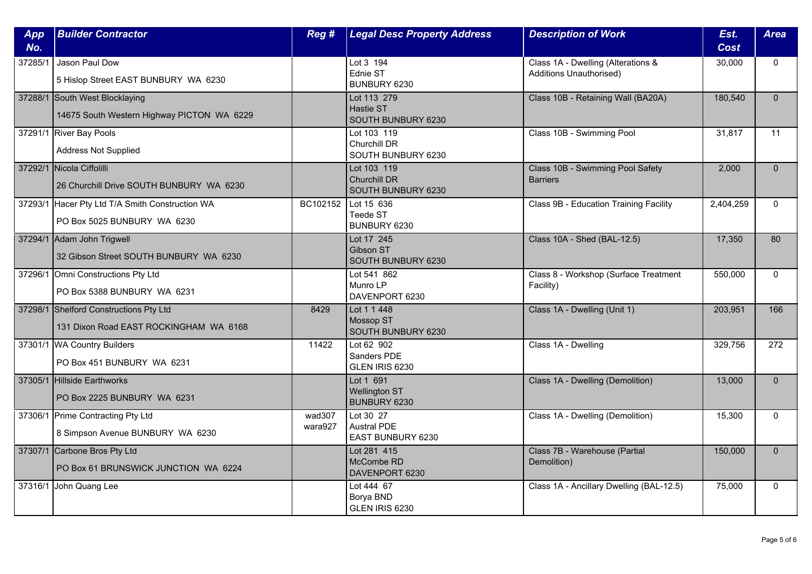| App<br>No. | <b>Builder Contractor</b>                                                        | Reg #             | <b>Legal Desc Property Address</b>                          | <b>Description of Work</b>                                           | Est.<br><b>Cost</b> | <b>Area</b>  |
|------------|----------------------------------------------------------------------------------|-------------------|-------------------------------------------------------------|----------------------------------------------------------------------|---------------------|--------------|
| 37285/1    | Jason Paul Dow<br>5 Hislop Street EAST BUNBURY WA 6230                           |                   | Lot 3 194<br>Ednie ST<br>BUNBURY 6230                       | Class 1A - Dwelling (Alterations &<br><b>Additions Unauthorised)</b> | 30,000              | $\mathbf{0}$ |
|            | 37288/1 South West Blocklaying<br>14675 South Western Highway PICTON WA 6229     |                   | Lot 113 279<br>Hastie ST<br>SOUTH BUNBURY 6230              | Class 10B - Retaining Wall (BA20A)                                   | 180,540             | $\Omega$     |
|            | 37291/1 River Bay Pools<br><b>Address Not Supplied</b>                           |                   | Lot 103 119<br><b>Churchill DR</b><br>SOUTH BUNBURY 6230    | Class 10B - Swimming Pool                                            | 31,817              | 11           |
|            | 37292/1 Nicola Ciffolilli<br>26 Churchill Drive SOUTH BUNBURY WA 6230            |                   | Lot 103 119<br><b>Churchill DR</b><br>SOUTH BUNBURY 6230    | Class 10B - Swimming Pool Safety<br><b>Barriers</b>                  | 2,000               | $\mathbf{0}$ |
| 37293/1    | Hacer Pty Ltd T/A Smith Construction WA<br>PO Box 5025 BUNBURY WA 6230           | BC102152          | Lot 15 636<br>Teede ST<br>BUNBURY 6230                      | Class 9B - Education Training Facility                               | 2,404,259           | $\Omega$     |
|            | 37294/1 Adam John Trigwell<br>32 Gibson Street SOUTH BUNBURY WA 6230             |                   | Lot 17 245<br><b>Gibson ST</b><br>SOUTH BUNBURY 6230        | Class 10A - Shed (BAL-12.5)                                          | 17,350              | 80           |
|            | 37296/1 Omni Constructions Pty Ltd<br>PO Box 5388 BUNBURY WA 6231                |                   | Lot 541 862<br>Munro LP<br>DAVENPORT 6230                   | Class 8 - Workshop (Surface Treatment<br>Facility)                   | 550,000             | $\mathbf{0}$ |
|            | 37298/1 Shelford Constructions Pty Ltd<br>131 Dixon Road EAST ROCKINGHAM WA 6168 | 8429              | Lot 1 1 448<br>Mossop ST<br>SOUTH BUNBURY 6230              | Class 1A - Dwelling (Unit 1)                                         | 203,951             | 166          |
|            | 37301/1 WA Country Builders<br>PO Box 451 BUNBURY WA 6231                        | 11422             | Lot 62 902<br>Sanders PDE<br>GLEN IRIS 6230                 | Class 1A - Dwelling                                                  | 329,756             | 272          |
|            | 37305/1 Hillside Earthworks<br>PO Box 2225 BUNBURY WA 6231                       |                   | Lot 1 691<br><b>Wellington ST</b><br>BUNBURY 6230           | Class 1A - Dwelling (Demolition)                                     | 13,000              | $\mathbf{0}$ |
|            | 37306/1 Prime Contracting Pty Ltd<br>8 Simpson Avenue BUNBURY WA 6230            | wad307<br>wara927 | Lot 30 27<br><b>Austral PDE</b><br><b>EAST BUNBURY 6230</b> | Class 1A - Dwelling (Demolition)                                     | 15,300              | $\mathbf{0}$ |
|            | 37307/1 Carbone Bros Pty Ltd<br>PO Box 61 BRUNSWICK JUNCTION WA 6224             |                   | Lot 281 415<br>McCombe RD<br>DAVENPORT 6230                 | Class 7B - Warehouse (Partial<br>Demolition)                         | 150,000             | $\Omega$     |
| 37316/1    | John Quang Lee                                                                   |                   | Lot 444 67<br>Borya BND<br>GLEN IRIS 6230                   | Class 1A - Ancillary Dwelling (BAL-12.5)                             | 75,000              | $\mathbf{0}$ |